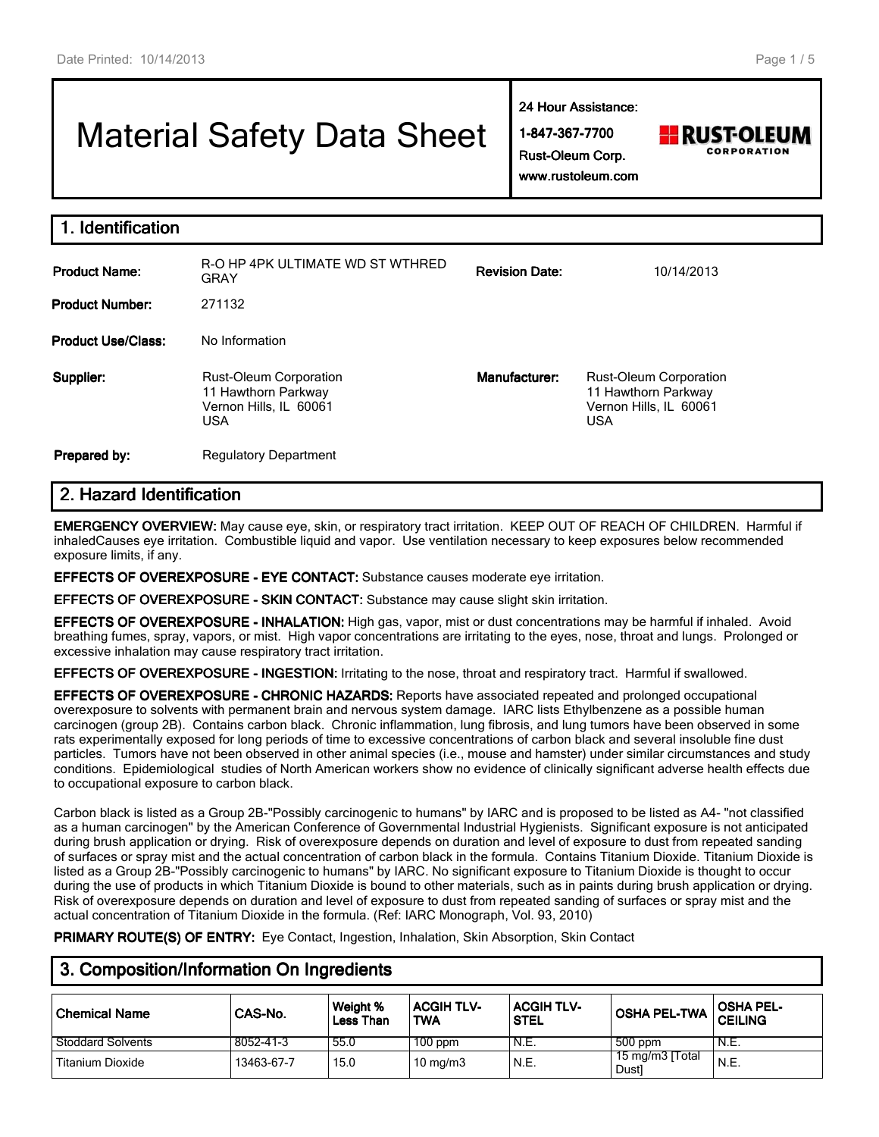# Material Safety Data Sheet

**24 Hour Assistance:**

**1-847-367-7700 Rust-Oleum Corp.**



**www.rustoleum.com**

|  |  | www.rustoleum.con |  |  |
|--|--|-------------------|--|--|
|  |  |                   |  |  |

| <b>Identification</b>     |                                                                                              |                       |                                                                                              |
|---------------------------|----------------------------------------------------------------------------------------------|-----------------------|----------------------------------------------------------------------------------------------|
| <b>Product Name:</b>      | R-O HP 4PK ULTIMATE WD ST WTHRED<br><b>GRAY</b>                                              | <b>Revision Date:</b> | 10/14/2013                                                                                   |
| <b>Product Number:</b>    | 271132                                                                                       |                       |                                                                                              |
| <b>Product Use/Class:</b> | No Information                                                                               |                       |                                                                                              |
| Supplier:                 | <b>Rust-Oleum Corporation</b><br>11 Hawthorn Parkway<br>Vernon Hills, IL 60061<br><b>USA</b> | Manufacturer:         | <b>Rust-Oleum Corporation</b><br>11 Hawthorn Parkway<br>Vernon Hills, IL 60061<br><b>USA</b> |
| Prepared by:              | <b>Regulatory Department</b>                                                                 |                       |                                                                                              |

## **2. Hazard Identification**

**EMERGENCY OVERVIEW:** May cause eye, skin, or respiratory tract irritation. KEEP OUT OF REACH OF CHILDREN. Harmful if inhaledCauses eye irritation. Combustible liquid and vapor. Use ventilation necessary to keep exposures below recommended exposure limits, if any.

**EFFECTS OF OVEREXPOSURE - EYE CONTACT:** Substance causes moderate eye irritation.

**EFFECTS OF OVEREXPOSURE - SKIN CONTACT:** Substance may cause slight skin irritation.

**EFFECTS OF OVEREXPOSURE - INHALATION:** High gas, vapor, mist or dust concentrations may be harmful if inhaled. Avoid breathing fumes, spray, vapors, or mist. High vapor concentrations are irritating to the eyes, nose, throat and lungs. Prolonged or excessive inhalation may cause respiratory tract irritation.

**EFFECTS OF OVEREXPOSURE - INGESTION:** Irritating to the nose, throat and respiratory tract. Harmful if swallowed.

**EFFECTS OF OVEREXPOSURE - CHRONIC HAZARDS:** Reports have associated repeated and prolonged occupational overexposure to solvents with permanent brain and nervous system damage. IARC lists Ethylbenzene as a possible human carcinogen (group 2B). Contains carbon black. Chronic inflammation, lung fibrosis, and lung tumors have been observed in some rats experimentally exposed for long periods of time to excessive concentrations of carbon black and several insoluble fine dust particles. Tumors have not been observed in other animal species (i.e., mouse and hamster) under similar circumstances and study conditions. Epidemiological studies of North American workers show no evidence of clinically significant adverse health effects due to occupational exposure to carbon black.

Carbon black is listed as a Group 2B-"Possibly carcinogenic to humans" by IARC and is proposed to be listed as A4- "not classified as a human carcinogen" by the American Conference of Governmental Industrial Hygienists. Significant exposure is not anticipated during brush application or drying. Risk of overexposure depends on duration and level of exposure to dust from repeated sanding of surfaces or spray mist and the actual concentration of carbon black in the formula. Contains Titanium Dioxide. Titanium Dioxide is listed as a Group 2B-"Possibly carcinogenic to humans" by IARC. No significant exposure to Titanium Dioxide is thought to occur during the use of products in which Titanium Dioxide is bound to other materials, such as in paints during brush application or drying. Risk of overexposure depends on duration and level of exposure to dust from repeated sanding of surfaces or spray mist and the actual concentration of Titanium Dioxide in the formula. (Ref: IARC Monograph, Vol. 93, 2010)

**PRIMARY ROUTE(S) OF ENTRY:** Eye Contact, Ingestion, Inhalation, Skin Absorption, Skin Contact

# **3. Composition/Information On Ingredients**

| <b>Chemical Name</b>     | CAS-No.    | Weight %<br><b>Less Than</b> | <b>ACGIH TLV-</b><br><b>TWA</b> | <b>ACGIH TLV-</b><br><b>STEL</b> | <b>OSHA PEL-TWA</b>       | <b>OSHA PEL-</b><br><b>CEILING</b> |
|--------------------------|------------|------------------------------|---------------------------------|----------------------------------|---------------------------|------------------------------------|
| <b>Stoddard Solvents</b> | 8052-41-3  | 55.0                         | $100$ ppm                       | N.E.                             | $500$ ppm                 | `N.E.                              |
| Titanium Dioxide         | 13463-67-7 | 15.0                         | 10 mg/m $3$                     | 'N.E.                            | 15 mg/m3 [Total]<br>Dust] | N.E.                               |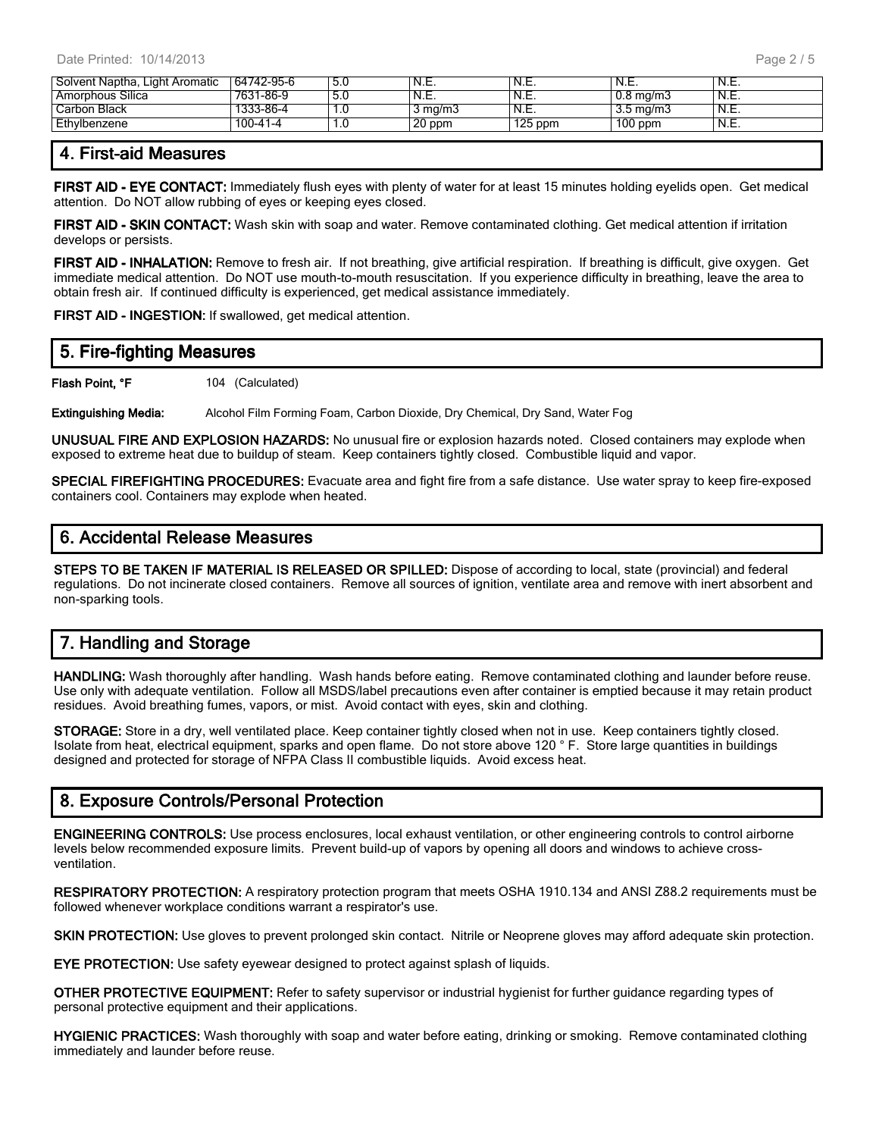| Solvent Naptha, Light Aromatic | 64742-95-6 | 5.0 | `N.E.            | N.E.      | N.E.                 | N.E. |
|--------------------------------|------------|-----|------------------|-----------|----------------------|------|
| Amorphous Silica               | 7631-86-9  | 5.U | N.E.             | N.E.      | $0.8 \text{ ma/m}$ 3 | N.E. |
| Carbon Black                   | 1333-86-4  | 1.U | $3 \text{ ma/m}$ | N.E.      | $3.5 \text{ ma/m}$   | N.E. |
| Ethylbenzene                   | 100-41-4   | I.U | 20 ppm           | $125$ ppm | $100$ ppm            | N.E. |

### **4. First-aid Measures**

**FIRST AID - EYE CONTACT:** Immediately flush eyes with plenty of water for at least 15 minutes holding eyelids open. Get medical attention. Do NOT allow rubbing of eyes or keeping eyes closed.

**FIRST AID - SKIN CONTACT:** Wash skin with soap and water. Remove contaminated clothing. Get medical attention if irritation develops or persists.

**FIRST AID - INHALATION:** Remove to fresh air. If not breathing, give artificial respiration. If breathing is difficult, give oxygen. Get immediate medical attention. Do NOT use mouth-to-mouth resuscitation. If you experience difficulty in breathing, leave the area to obtain fresh air. If continued difficulty is experienced, get medical assistance immediately.

**FIRST AID - INGESTION:** If swallowed, get medical attention.

| 5. Fire-fighting Measures |                  |  |  |  |  |  |  |
|---------------------------|------------------|--|--|--|--|--|--|
| Flash Point, °F           | 104 (Calculated) |  |  |  |  |  |  |

**Extinguishing Media:** Alcohol Film Forming Foam, Carbon Dioxide, Dry Chemical, Dry Sand, Water Fog

**UNUSUAL FIRE AND EXPLOSION HAZARDS:** No unusual fire or explosion hazards noted. Closed containers may explode when exposed to extreme heat due to buildup of steam. Keep containers tightly closed. Combustible liquid and vapor.

**SPECIAL FIREFIGHTING PROCEDURES:** Evacuate area and fight fire from a safe distance. Use water spray to keep fire-exposed containers cool. Containers may explode when heated.

#### **6. Accidental Release Measures**

**STEPS TO BE TAKEN IF MATERIAL IS RELEASED OR SPILLED:** Dispose of according to local, state (provincial) and federal regulations. Do not incinerate closed containers. Remove all sources of ignition, ventilate area and remove with inert absorbent and non-sparking tools.

## **7. Handling and Storage**

**HANDLING:** Wash thoroughly after handling. Wash hands before eating. Remove contaminated clothing and launder before reuse. Use only with adequate ventilation. Follow all MSDS/label precautions even after container is emptied because it may retain product residues. Avoid breathing fumes, vapors, or mist. Avoid contact with eyes, skin and clothing.

**STORAGE:** Store in a dry, well ventilated place. Keep container tightly closed when not in use. Keep containers tightly closed. Isolate from heat, electrical equipment, sparks and open flame. Do not store above 120 ° F. Store large quantities in buildings designed and protected for storage of NFPA Class II combustible liquids. Avoid excess heat.

### **8. Exposure Controls/Personal Protection**

**ENGINEERING CONTROLS:** Use process enclosures, local exhaust ventilation, or other engineering controls to control airborne levels below recommended exposure limits. Prevent build-up of vapors by opening all doors and windows to achieve crossventilation.

**RESPIRATORY PROTECTION:** A respiratory protection program that meets OSHA 1910.134 and ANSI Z88.2 requirements must be followed whenever workplace conditions warrant a respirator's use.

**SKIN PROTECTION:** Use gloves to prevent prolonged skin contact. Nitrile or Neoprene gloves may afford adequate skin protection.

**EYE PROTECTION:** Use safety eyewear designed to protect against splash of liquids.

**OTHER PROTECTIVE EQUIPMENT:** Refer to safety supervisor or industrial hygienist for further guidance regarding types of personal protective equipment and their applications.

**HYGIENIC PRACTICES:** Wash thoroughly with soap and water before eating, drinking or smoking. Remove contaminated clothing immediately and launder before reuse.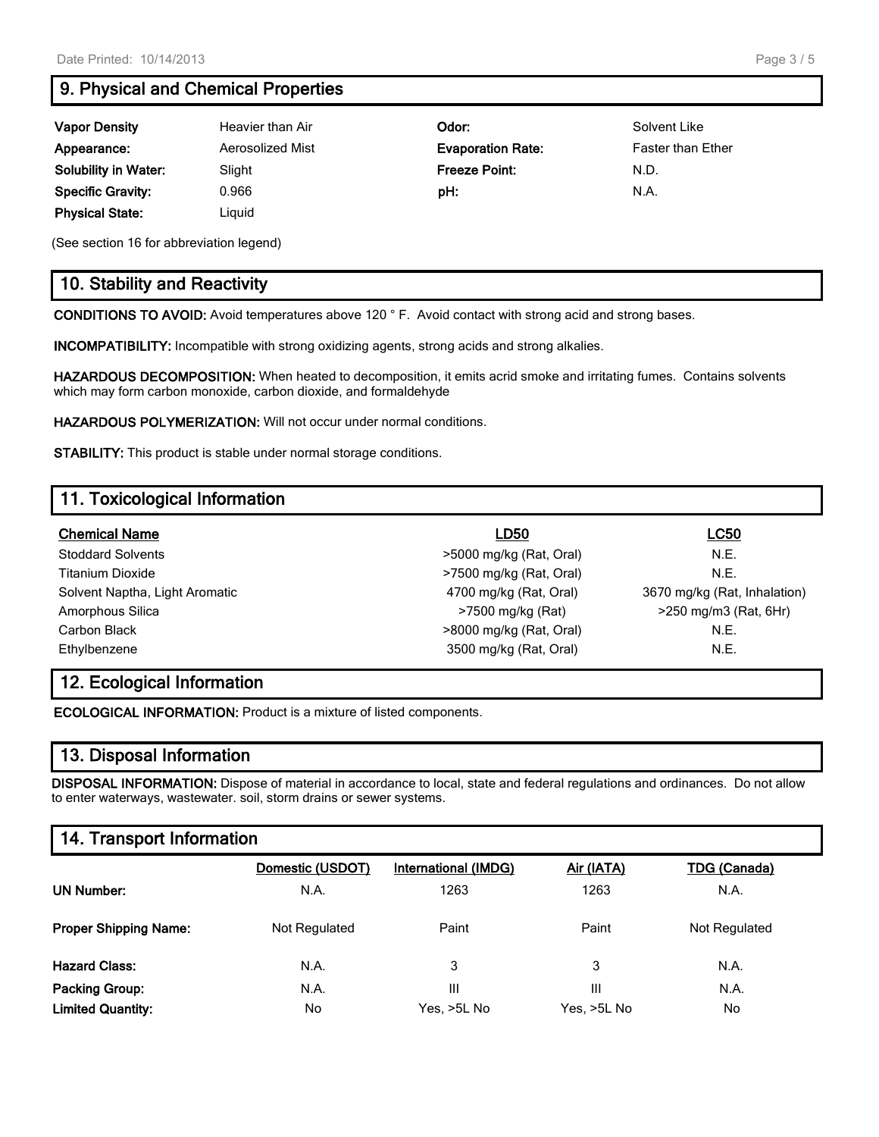# **9. Physical and Chemical Properties**

| <b>Vapor Density</b>        | Heavier than Air | Odor:                    | Solvent Like             |
|-----------------------------|------------------|--------------------------|--------------------------|
| Appearance:                 | Aerosolized Mist | <b>Evaporation Rate:</b> | <b>Faster than Ether</b> |
| <b>Solubility in Water:</b> | Slight           | <b>Freeze Point:</b>     | N.D.                     |
| <b>Specific Gravity:</b>    | 0.966            | pH:                      | N.A.                     |
| <b>Physical State:</b>      | Liguid           |                          |                          |

(See section 16 for abbreviation legend)

### **10. Stability and Reactivity**

**CONDITIONS TO AVOID:** Avoid temperatures above 120 ° F. Avoid contact with strong acid and strong bases.

**INCOMPATIBILITY:** Incompatible with strong oxidizing agents, strong acids and strong alkalies.

**HAZARDOUS DECOMPOSITION:** When heated to decomposition, it emits acrid smoke and irritating fumes. Contains solvents which may form carbon monoxide, carbon dioxide, and formaldehyde

**HAZARDOUS POLYMERIZATION:** Will not occur under normal conditions.

**STABILITY:** This product is stable under normal storage conditions.

# **11. Toxicological Information**

| <b>Chemical Name</b>           | LD50                    | <b>LC50</b>                  |
|--------------------------------|-------------------------|------------------------------|
| <b>Stoddard Solvents</b>       | >5000 mg/kg (Rat, Oral) | N.E.                         |
| Titanium Dioxide               | >7500 mg/kg (Rat, Oral) | N.E.                         |
| Solvent Naptha, Light Aromatic | 4700 mg/kg (Rat, Oral)  | 3670 mg/kg (Rat, Inhalation) |
| Amorphous Silica               | >7500 mg/kg (Rat)       | $>250$ mg/m3 (Rat, 6Hr)      |
| Carbon Black                   | >8000 mg/kg (Rat, Oral) | N.E.                         |
| Ethylbenzene                   | 3500 mg/kg (Rat, Oral)  | N.E.                         |

# **12. Ecological Information**

**ECOLOGICAL INFORMATION:** Product is a mixture of listed components.

### **13. Disposal Information**

**DISPOSAL INFORMATION:** Dispose of material in accordance to local, state and federal regulations and ordinances. Do not allow to enter waterways, wastewater. soil, storm drains or sewer systems.

### **14. Transport Information**

|                              | Domestic (USDOT) | International (IMDG) | Air (IATA)  | <b>TDG (Canada)</b> |
|------------------------------|------------------|----------------------|-------------|---------------------|
| <b>UN Number:</b>            | N.A.             | 1263                 | 1263        | N.A.                |
| <b>Proper Shipping Name:</b> | Not Regulated    | Paint                | Paint       | Not Regulated       |
| <b>Hazard Class:</b>         | N.A.             | 3                    | 3           | N.A.                |
| Packing Group:               | N.A.             | III                  | Ш           | N.A.                |
| <b>Limited Quantity:</b>     | No.              | Yes, >5L No          | Yes, >5L No | No.                 |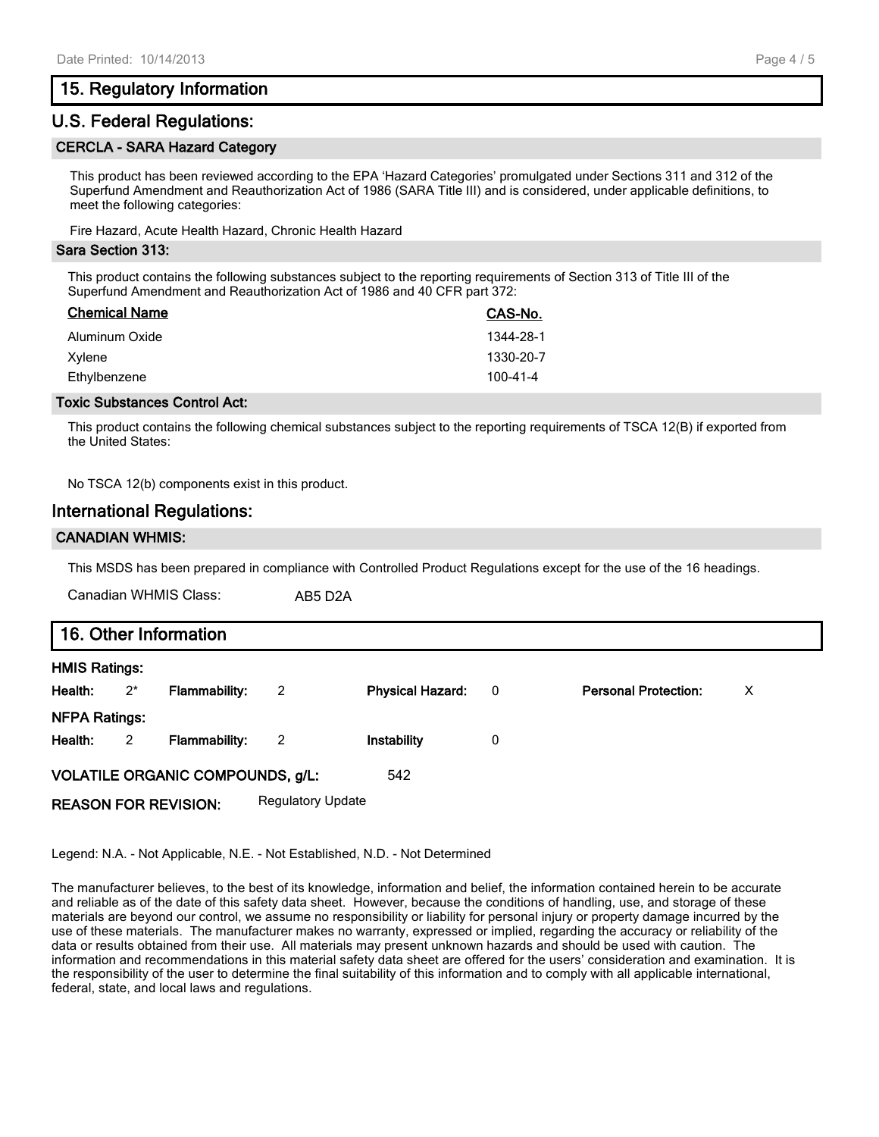#### **15. Regulatory Information**

#### **U.S. Federal Regulations:**

#### **CERCLA - SARA Hazard Category**

This product has been reviewed according to the EPA 'Hazard Categories' promulgated under Sections 311 and 312 of the Superfund Amendment and Reauthorization Act of 1986 (SARA Title III) and is considered, under applicable definitions, to meet the following categories:

Fire Hazard, Acute Health Hazard, Chronic Health Hazard

#### **Sara Section 313:**

This product contains the following substances subject to the reporting requirements of Section 313 of Title III of the Superfund Amendment and Reauthorization Act of 1986 and 40 CFR part 372:

| <b>Chemical Name</b> | CAS-No.   |
|----------------------|-----------|
| Aluminum Oxide       | 1344-28-1 |
| Xylene               | 1330-20-7 |
| Ethylbenzene         | 100-41-4  |

#### **Toxic Substances Control Act:**

This product contains the following chemical substances subject to the reporting requirements of TSCA 12(B) if exported from the United States:

No TSCA 12(b) components exist in this product.

#### **International Regulations:**

#### **CANADIAN WHMIS:**

This MSDS has been prepared in compliance with Controlled Product Regulations except for the use of the 16 headings.

Canadian WHMIS Class: AB5 D2A

|                      | 16. Other Information      |                                         |                          |                         |                          |                             |   |  |  |  |
|----------------------|----------------------------|-----------------------------------------|--------------------------|-------------------------|--------------------------|-----------------------------|---|--|--|--|
| <b>HMIS Ratings:</b> |                            |                                         |                          |                         |                          |                             |   |  |  |  |
| Health:              | $2^{*}$                    | <b>Flammability:</b>                    | $\overline{2}$           | <b>Physical Hazard:</b> | $\overline{\phantom{0}}$ | <b>Personal Protection:</b> | X |  |  |  |
| <b>NFPA Ratings:</b> |                            |                                         |                          |                         |                          |                             |   |  |  |  |
| Health:              | $\overline{\phantom{0}}^2$ | <b>Flammability:</b>                    | -2                       | Instability             | 0                        |                             |   |  |  |  |
|                      |                            | <b>VOLATILE ORGANIC COMPOUNDS, g/L:</b> |                          | 542                     |                          |                             |   |  |  |  |
|                      |                            | <b>REASON FOR REVISION:</b>             | <b>Regulatory Update</b> |                         |                          |                             |   |  |  |  |

Legend: N.A. - Not Applicable, N.E. - Not Established, N.D. - Not Determined

The manufacturer believes, to the best of its knowledge, information and belief, the information contained herein to be accurate and reliable as of the date of this safety data sheet. However, because the conditions of handling, use, and storage of these materials are beyond our control, we assume no responsibility or liability for personal injury or property damage incurred by the use of these materials. The manufacturer makes no warranty, expressed or implied, regarding the accuracy or reliability of the data or results obtained from their use. All materials may present unknown hazards and should be used with caution. The information and recommendations in this material safety data sheet are offered for the users' consideration and examination. It is the responsibility of the user to determine the final suitability of this information and to comply with all applicable international, federal, state, and local laws and regulations.